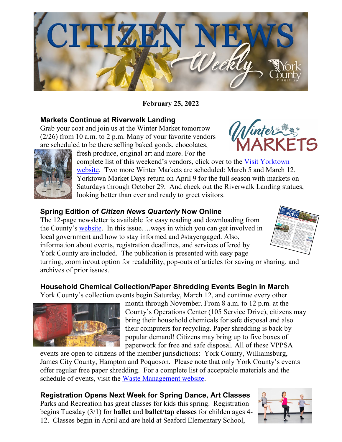

**February 25, 2022**

## **Markets Continue at Riverwalk Landing**

Grab your coat and join us at the Winter Market tomorrow (2/26) from 10 a.m. to 2 p.m. Many of your favorite vendors are scheduled to be there selling baked goods, chocolates,





fresh produce, original art and more. For the

complete list of this weekend's vendors, click over to the Visit Yorktown [website.](https://www.visityorktown.org/418/This-Week-at-the-Market) Two more Winter Markets are scheduled: March 5 and March 12. Yorktown Market Days return on April 9 for the full season with markets on Saturdays through October 29. And check out the Riverwalk Landing statues, looking better than ever and ready to greet visitors.

## **Spring Edition of** *Citizen News Quarterly* **Now Online**

The 12-page newsletter is available for easy reading and downloading from the County's [website.](https://www.yorkcounty.gov/1610/Citizen-News-Quarterly) In this issue….ways in which you can get involved in local government and how to stay informed and #stayengaged. Also, information about events, registration deadlines, and services offered by York County are included. The publication is presented with easy page



turning, zoom in/out option for readability, pop-outs of articles for saving or sharing, and archives of prior issues.

## **Household Chemical Collection/Paper Shredding Events Begin in March**

York County's collection events begin Saturday, March 12, and continue every other



month through November. From 8 a.m. to 12 p.m. at the County's Operations Center (105 Service Drive), citizens may bring their household chemicals for safe disposal and also their computers for recycling. Paper shredding is back by popular demand! Citizens may bring up to five boxes of paperwork for free and safe disposal. All of these VPPSA

events are open to citizens of the member jurisdictions: York County, Williamsburg, James City County, Hampton and Poquoson. Please note that only York County's events offer regular free paper shredding. For a complete list of acceptable materials and the schedule of events, visit the [Waste Management website.](https://www.yorkcounty.gov/578/Waste-Management)

**Registration Opens Next Week for Spring Dance, Art Classes**  Parks and Recreation has great classes for kids this spring. Registration begins Tuesday (3/1) for **ballet** and **ballet/tap classes** for childen ages 4- 12. Classes begin in April and are held at Seaford Elementary School,